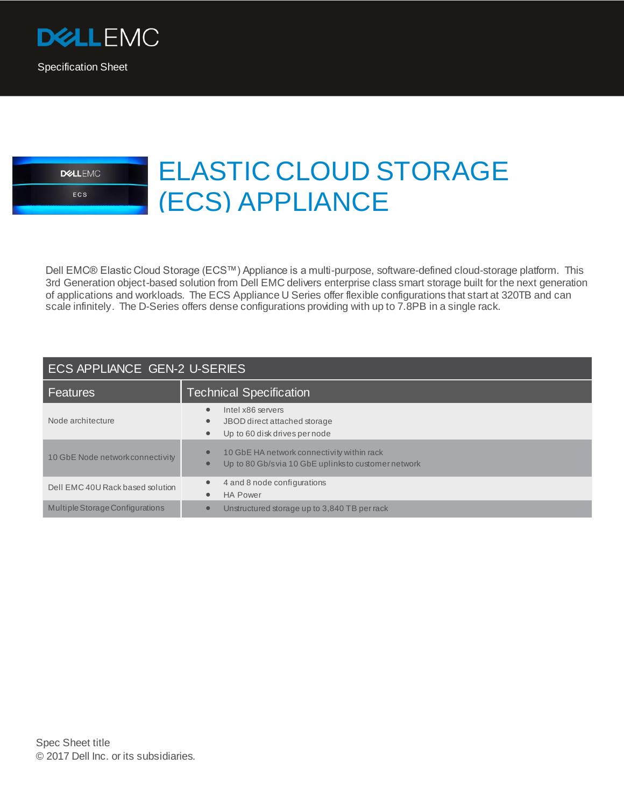



## ELASTIC CLOUD STORAGE (ECS) APPLIANCE

Dell EMC® Elastic Cloud Storage (ECS™) Appliance is a multi-purpose, software-defined cloud-storage platform. This 3rd Generation object-based solution from Dell EMC delivers enterprise class smart storage built for the next generation of applications and workloads. The ECS Appliance U Series offer flexible configurations that start at 320TB and can scale infinitely. The D-Series offers dense configurations providing with up to 7.8PB in a single rack.

## ECS APPLIANCE GEN-2 U-SERIES

| Features                         | <b>Technical Specification</b>                                                                                             |  |
|----------------------------------|----------------------------------------------------------------------------------------------------------------------------|--|
| Node architecture                | Intel x86 servers<br>$\bullet$<br>JBOD direct attached storage<br>$\bullet$<br>Up to 60 disk drives per node<br>$\bullet$  |  |
| 10 GbE Node network connectivity | 10 GbE HA network connectivity within rack<br>$\bullet$<br>Up to 80 Gb/svia 10 GbE uplinksto customer network<br>$\bullet$ |  |
| Dell EMC 40U Rack based solution | 4 and 8 node configurations<br>$\bullet$<br><b>HA Power</b><br>$\bullet$                                                   |  |
| Multiple Storage Configurations  | Unstructured storage up to 3,840 TB per rack<br>$\bullet$                                                                  |  |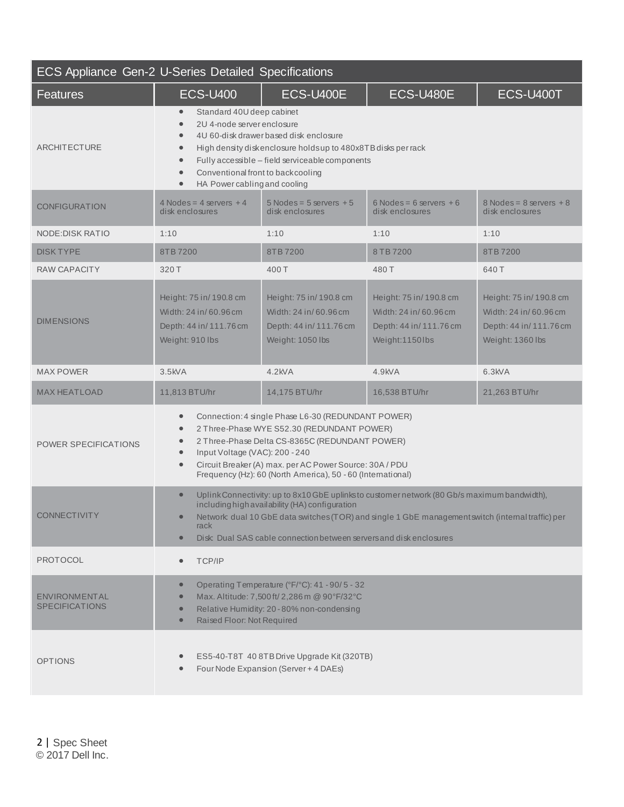| ECS Appliance Gen-2 U-Series Detailed Specifications |                                                                                                                                                                                                                                                                                                                                                                                 |                                                                                                                                                            |                                                                                                                                                                                                  |                                                                                                |
|------------------------------------------------------|---------------------------------------------------------------------------------------------------------------------------------------------------------------------------------------------------------------------------------------------------------------------------------------------------------------------------------------------------------------------------------|------------------------------------------------------------------------------------------------------------------------------------------------------------|--------------------------------------------------------------------------------------------------------------------------------------------------------------------------------------------------|------------------------------------------------------------------------------------------------|
| <b>Features</b>                                      | <b>ECS-U400</b>                                                                                                                                                                                                                                                                                                                                                                 | ECS-U400E                                                                                                                                                  | ECS-U480E                                                                                                                                                                                        | ECS-U400T                                                                                      |
| ARCHITECTURE                                         | Standard 40U deep cabinet<br>$\bullet$<br>2U 4-node server enclosure<br>$\bullet$<br>$\bullet$<br>$\bullet$<br>$\bullet$<br>Conventional front to back cooling<br>$\bullet$<br>HA Power cabling and cooling<br>$\bullet$                                                                                                                                                        | 4U 60-disk drawer based disk enclosure<br>High density diskenclosure holds up to 480x8TB disks per rack<br>Fully accessible - field serviceable components |                                                                                                                                                                                                  |                                                                                                |
| <b>CONFIGURATION</b>                                 | $4$ Nodes = $4$ servers $+4$<br>disk enclosures                                                                                                                                                                                                                                                                                                                                 | $5$ Nodes = $5$ servers $+5$<br>disk enclosures                                                                                                            | $6$ Nodes = $6$ servers $+6$<br>disk enclosures                                                                                                                                                  | $8$ Nodes = $8$ servers $+8$<br>disk enclosures                                                |
| NODE: DISK RATIO                                     | 1:10                                                                                                                                                                                                                                                                                                                                                                            | 1:10                                                                                                                                                       | 1:10                                                                                                                                                                                             | 1:10                                                                                           |
| <b>DISK TYPE</b>                                     | 8TB7200                                                                                                                                                                                                                                                                                                                                                                         | 8TB 7200                                                                                                                                                   | 8 TB 7200                                                                                                                                                                                        | 8TB 7200                                                                                       |
| RAW CAPACITY                                         | 320 T                                                                                                                                                                                                                                                                                                                                                                           | 400T                                                                                                                                                       | 480 T                                                                                                                                                                                            | 640 T                                                                                          |
| <b>DIMENSIONS</b>                                    | Height: 75 in/ 190.8 cm<br>Width: 24 in/60.96 cm<br>Depth: 44 in/111.76 cm<br>Weight: 910 lbs                                                                                                                                                                                                                                                                                   | Height: 75 in/ 190.8 cm<br>Width: 24 in/60.96 cm<br>Depth: 44 in/111.76 cm<br>Weight: 1050 lbs                                                             | Height: 75 in/ 190.8 cm<br>Width: 24 in/60.96 cm<br>Depth: 44 in/111.76 cm<br>Weight:1150lbs                                                                                                     | Height: 75 in/ 190.8 cm<br>Width: 24 in/60.96 cm<br>Depth: 44 in/111.76 cm<br>Weight: 1360 lbs |
| <b>MAX POWER</b>                                     | $3.5$ kVA                                                                                                                                                                                                                                                                                                                                                                       | $4.2$ kVA                                                                                                                                                  | 4.9kVA                                                                                                                                                                                           | 6.3kVA                                                                                         |
| <b>MAX HEATLOAD</b>                                  | 11,813 BTU/hr                                                                                                                                                                                                                                                                                                                                                                   | 14,175 BTU/hr                                                                                                                                              | 16,538 BTU/hr                                                                                                                                                                                    | 21,263 BTU/hr                                                                                  |
| <b>POWER SPECIFICATIONS</b>                          | Connection: 4 single Phase L6-30 (REDUNDANT POWER)<br>$\bullet$<br>2 Three-Phase WYE S52.30 (REDUNDANT POWER)<br>$\bullet$<br>2 Three-Phase Delta CS-8365C (REDUNDANT POWER)<br>$\bullet$<br>Input Voltage (VAC): 200 - 240<br>$\bullet$<br>Circuit Breaker (A) max. per AC Power Source: 30A / PDU<br>$\bullet$<br>Frequency (Hz): 60 (North America), 50 - 60 (International) |                                                                                                                                                            |                                                                                                                                                                                                  |                                                                                                |
| <b>CONNECTIVITY</b>                                  | $\bullet$<br>$\bullet$<br>rack<br>$\bullet$                                                                                                                                                                                                                                                                                                                                     | including high availability (HA) configuration<br>Disk: Dual SAS cable connection between servers and disk enclosures                                      | Uplink Connectivity: up to 8x10 GbE uplinksto customer network (80 Gb/s maximum bandwidth),<br>Network dual 10 GbE data switches (TOR) and single 1 GbE management switch (internal traffic) per |                                                                                                |
| <b>PROTOCOL</b>                                      | TCP/IP<br>$\bullet$                                                                                                                                                                                                                                                                                                                                                             |                                                                                                                                                            |                                                                                                                                                                                                  |                                                                                                |
| ENVIRONMENTAL<br><b>SPECIFICATIONS</b>               | $\bullet$<br>$\bullet$<br>$\bullet$<br>Raised Floor: Not Required<br>$\bullet$                                                                                                                                                                                                                                                                                                  | Operating Temperature (°F/°C): 41 - 90/5 - 32<br>Max. Altitude: 7,500 ft/ 2,286 m @ 90°F/32°C<br>Relative Humidity: 20 - 80% non-condensing                |                                                                                                                                                                                                  |                                                                                                |
| <b>OPTIONS</b>                                       | $\bullet$                                                                                                                                                                                                                                                                                                                                                                       | ES5-40-T8T 40 8TB Drive Upgrade Kit (320TB)<br>Four Node Expansion (Server + 4 DAEs)                                                                       |                                                                                                                                                                                                  |                                                                                                |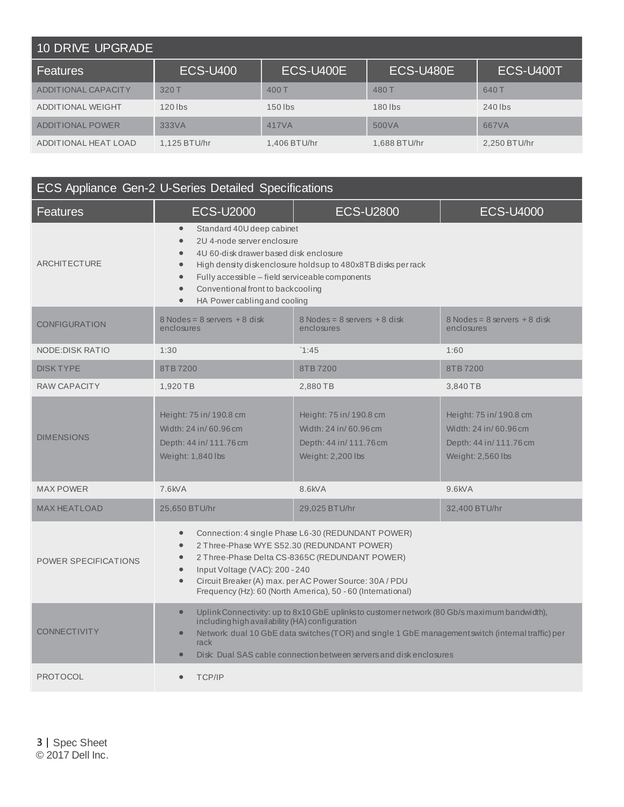| 10 DRIVE UPGRADE         |                 |              |              |              |
|--------------------------|-----------------|--------------|--------------|--------------|
| l Features               | <b>ECS-U400</b> | ECS-U400E    | ECS-U480E    | ECS-U400T    |
| ADDITIONAL CAPACITY      | 320 T           | 400T         | 480 T        | 640 T        |
| <b>ADDITIONAL WEIGHT</b> | $120$ lbs       | $150$ lbs    | $180$ lbs    | 240 lbs      |
| ADDITIONAL POWER         | 333VA           | 417VA        | 500VA        | 667VA        |
| ADDITIONAL HEAT LOAD     | 1,125 BTU/hr    | 1,406 BTU/hr | 1,688 BTU/hr | 2,250 BTU/hr |

| ECS Appliance Gen-2 U-Series Detailed Specifications |                                                                                                                                                                                                                                                                                                                                                       |                                                                                                |                                                                                                |
|------------------------------------------------------|-------------------------------------------------------------------------------------------------------------------------------------------------------------------------------------------------------------------------------------------------------------------------------------------------------------------------------------------------------|------------------------------------------------------------------------------------------------|------------------------------------------------------------------------------------------------|
| <b>Features</b>                                      | <b>ECS-U2000</b>                                                                                                                                                                                                                                                                                                                                      | <b>ECS-U2800</b>                                                                               | <b>ECS-U4000</b>                                                                               |
| ARCHITECTURE                                         | Standard 40U deep cabinet<br>$\bullet$<br>2U 4-node server enclosure<br>$\bullet$<br>4U 60-disk drawer based disk enclosure<br>High density diskenclosure holdsup to 480x8TB disks per rack<br>Fully accessible - field serviceable components<br>Conventional front to back cooling<br>HA Power cabling and cooling<br>$\bullet$                     |                                                                                                |                                                                                                |
| <b>CONFIGURATION</b>                                 | $8$ Nodes = $8$ servers $+8$ disk<br>enclosures                                                                                                                                                                                                                                                                                                       | $8$ Nodes = $8$ servers $+8$ disk<br>enclosures                                                | $8$ Nodes = $8$ servers $+8$ disk<br>enclosures                                                |
| NODE: DISK RATIO                                     | 1:30                                                                                                                                                                                                                                                                                                                                                  | 1:45                                                                                           | 1:60                                                                                           |
| <b>DISK TYPE</b>                                     | 8TB7200                                                                                                                                                                                                                                                                                                                                               | 8TB 7200                                                                                       | 8TB7200                                                                                        |
| RAW CAPACITY                                         | 1,920 TB                                                                                                                                                                                                                                                                                                                                              | 2,880 TB                                                                                       | 3,840 TB                                                                                       |
| <b>DIMENSIONS</b>                                    | Height: 75 in/ 190.8 cm<br>Width: 24 in/60.96 cm<br>Depth: 44 in/ 111.76 cm<br>Weight: 1,840 lbs                                                                                                                                                                                                                                                      | Height: 75 in/190.8 cm<br>Width: 24 in/60.96 cm<br>Depth: 44 in/111.76 cm<br>Weight: 2,200 lbs | Height: 75 in/190.8 cm<br>Width: 24 in/60.96 cm<br>Depth: 44 in/111.76 cm<br>Weight: 2,560 lbs |
| <b>MAX POWER</b>                                     | 7.6kVA                                                                                                                                                                                                                                                                                                                                                | 8.6kVA                                                                                         | 9.6kVA                                                                                         |
| <b>MAX HEATLOAD</b>                                  | 25.650 BTU/hr                                                                                                                                                                                                                                                                                                                                         | 29,025 BTU/hr                                                                                  | 32,400 BTU/hr                                                                                  |
| <b>POWER SPECIFICATIONS</b>                          | Connection: 4 single Phase L6-30 (REDUNDANT POWER)<br>2 Three-Phase WYE S52.30 (REDUNDANT POWER)<br>2 Three-Phase Delta CS-8365C (REDUNDANT POWER)<br>$\bullet$<br>Input Voltage (VAC): 200 - 240<br>$\bullet$<br>Circuit Breaker (A) max. per AC Power Source: 30A / PDU<br>$\bullet$<br>Frequency (Hz): 60 (North America), 50 - 60 (International) |                                                                                                |                                                                                                |
| <b>CONNECTIVITY</b>                                  | Uplink Connectivity: up to 8x10 GbE uplinks to customer network (80 Gb/s maximum bandwidth),<br>$\bullet$<br>including high availability (HA) configuration<br>Network dual 10 GbE data switches (TOR) and single 1 GbE management switch (internal traffic) per<br>rack<br>Disk: Dual SAS cable connection between servers and disk enclosures       |                                                                                                |                                                                                                |
| <b>PROTOCOL</b>                                      | TCP/IP                                                                                                                                                                                                                                                                                                                                                |                                                                                                |                                                                                                |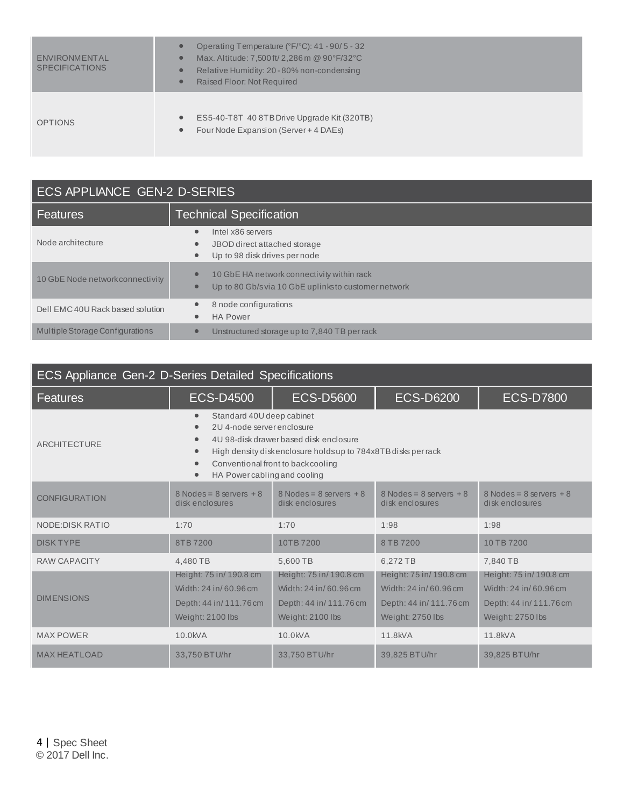| ENVIRONMENTAL<br><b>SPECIFICATIONS</b> | Operating Temperature (°F/°C): 41 - 90/5 - 32<br>$\bullet$<br>Max. Altitude: 7,500 ft/ 2,286 m @ 90°F/32°C<br>$\bullet$<br>Relative Humidity: 20 - 80% non-condensing<br>$\bullet$<br>Raised Floor: Not Required<br>$\bullet$ |
|----------------------------------------|-------------------------------------------------------------------------------------------------------------------------------------------------------------------------------------------------------------------------------|
| <b>OPTIONS</b>                         | ES5-40-T8T 40 8TB Drive Upgrade Kit (320TB)<br>$\bullet$<br>Four Node Expansion (Server + 4 DAEs)<br>$\bullet$                                                                                                                |

| ECS APPLIANCE GEN-2 D-SERIES     |                                                                                                    |  |
|----------------------------------|----------------------------------------------------------------------------------------------------|--|
| Features                         | <b>Technical Specification</b>                                                                     |  |
| Node architecture                | Intel x86 servers<br>JBOD direct attached storage<br>Up to 98 disk drives per node                 |  |
| 10 GbE Node network connectivity | 10 GbE HA network connectivity within rack<br>Up to 80 Gb/s via 10 GbE uplinks to customer network |  |
| Dell EMC 40U Rack based solution | 8 node configurations<br><b>HA Power</b>                                                           |  |
| Multiple Storage Configurations  | Unstructured storage up to 7,840 TB per rack                                                       |  |

| <b>ECS Appliance Gen-2 D-Series Detailed Specifications</b> |                                                                                                                                             |                                                                                                                                               |                                                                                                 |                                                                                                 |
|-------------------------------------------------------------|---------------------------------------------------------------------------------------------------------------------------------------------|-----------------------------------------------------------------------------------------------------------------------------------------------|-------------------------------------------------------------------------------------------------|-------------------------------------------------------------------------------------------------|
| <b>Features</b>                                             | <b>ECS-D4500</b>                                                                                                                            | <b>ECS-D5600</b>                                                                                                                              | <b>ECS-D6200</b>                                                                                | <b>ECS-D7800</b>                                                                                |
| <b>ARCHITECTURE</b>                                         | Standard 40U deep cabinet<br>$\bullet$<br>2U 4-node server enclosure<br>$\bullet$<br>$\bullet$<br>HA Power cabling and cooling<br>$\bullet$ | 4U 98-disk drawer based disk enclosure<br>High density diskenclosure holds up to 784x8TB disks per rack<br>Conventional front to back cooling |                                                                                                 |                                                                                                 |
| <b>CONFIGURATION</b>                                        | $8$ Nodes = $8$ servers $+8$<br>disk enclosures                                                                                             | $8$ Nodes = $8$ servers $+8$<br>disk enclosures                                                                                               | $8$ Nodes = $8$ servers $+8$<br>disk enclosures                                                 | $8$ Nodes = $8$ servers $+8$<br>disk enclosures                                                 |
| <b>NODE: DISK RATIO</b>                                     | 1:70                                                                                                                                        | 1:70                                                                                                                                          | 1:98                                                                                            | 1:98                                                                                            |
| <b>DISK TYPE</b>                                            | 8TB 7200                                                                                                                                    | 10TB 7200                                                                                                                                     | 8 TB 7200                                                                                       | 10 TB 7200                                                                                      |
| <b>RAW CAPACITY</b>                                         | 4,480 TB                                                                                                                                    | 5,600 TB                                                                                                                                      | 6,272 TB                                                                                        | 7,840 TB                                                                                        |
| <b>DIMENSIONS</b>                                           | Height: 75 in/ 190.8 cm<br>Width: 24 in/60.96 cm<br>Depth: 44 in/111.76 cm<br>Weight: 2100 lbs                                              | Height: 75 in/ 190.8 cm<br>Width: 24 in/60.96 cm<br>Depth: 44 in/111.76 cm<br>Weight: 2100 lbs                                                | Height: 75 in/ 190.8 cm<br>Width: 24 in/60.96 cm<br>Depth: 44 in/ 111.76 cm<br>Weight: 2750 lbs | Height: 75 in/ 190.8 cm<br>Width: 24 in/60.96 cm<br>Depth: 44 in/ 111.76 cm<br>Weight: 2750 lbs |
| <b>MAX POWER</b>                                            | 10.0kVA                                                                                                                                     | $10.0$ kV A                                                                                                                                   | 11.8kVA                                                                                         | 11.8kVA                                                                                         |
| <b>MAX HEATLOAD</b>                                         | 33,750 BTU/hr                                                                                                                               | 33,750 BTU/hr                                                                                                                                 | 39,825 BTU/hr                                                                                   | 39,825 BTU/hr                                                                                   |